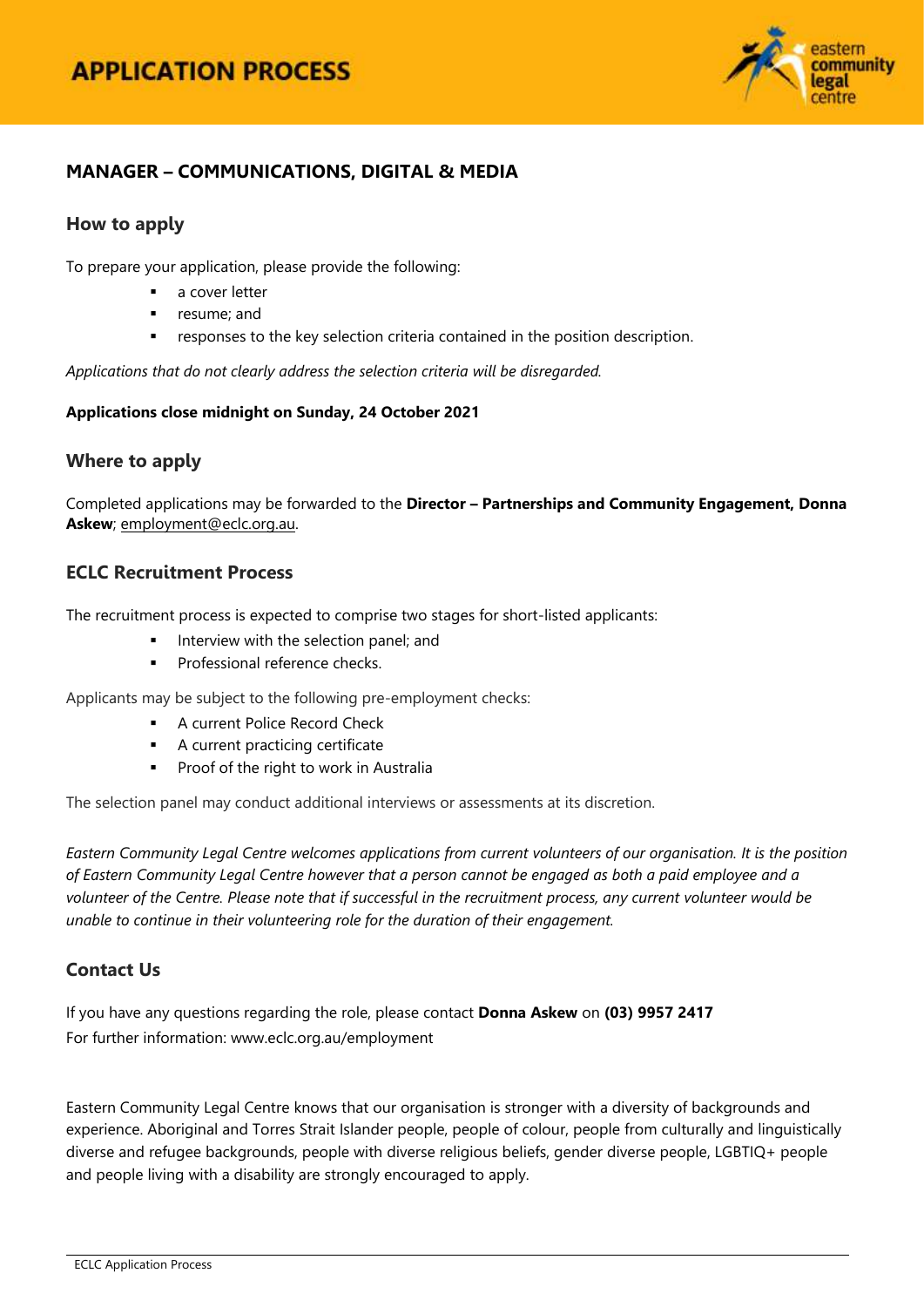

# **MANAGER – COMMUNICATIONS, DIGITAL & MEDIA**

## **How to apply**

To prepare your application, please provide the following:

- a cover letter
- resume; and
- responses to the key selection criteria contained in the position description.

*Applications that do not clearly address the selection criteria will be disregarded.*

#### **Applications close midnight on Sunday, 24 October 2021**

## **Where to apply**

Completed applications may be forwarded to the **Director – Partnerships and Community Engagement, Donna Askew**; [employment@eclc.org.au.](mailto:employment@eclc.org.au)

## **ECLC Recruitment Process**

The recruitment process is expected to comprise two stages for short-listed applicants:

- $\blacksquare$  Interview with the selection panel; and
- Professional reference checks.

Applicants may be subject to the following pre-employment checks:

- **A current Police Record Check**
- **A** current practicing certificate
- **Proof of the right to work in Australia**

The selection panel may conduct additional interviews or assessments at its discretion.

*Eastern Community Legal Centre welcomes applications from current volunteers of our organisation. It is the position of Eastern Community Legal Centre however that a person cannot be engaged as both a paid employee and a volunteer of the Centre. Please note that if successful in the recruitment process, any current volunteer would be unable to continue in their volunteering role for the duration of their engagement.*

## **Contact Us**

If you have any questions regarding the role, please contact **Donna Askew** on **(03) 9957 2417** For further information[: www.eclc.org.au/employment](http://www.eclc.org.au/employment)

Eastern Community Legal Centre knows that our organisation is stronger with a diversity of backgrounds and experience. Aboriginal and Torres Strait Islander people, people of colour, people from culturally and linguistically diverse and refugee backgrounds, people with diverse religious beliefs, gender diverse people, LGBTIQ+ people and people living with a disability are strongly encouraged to apply.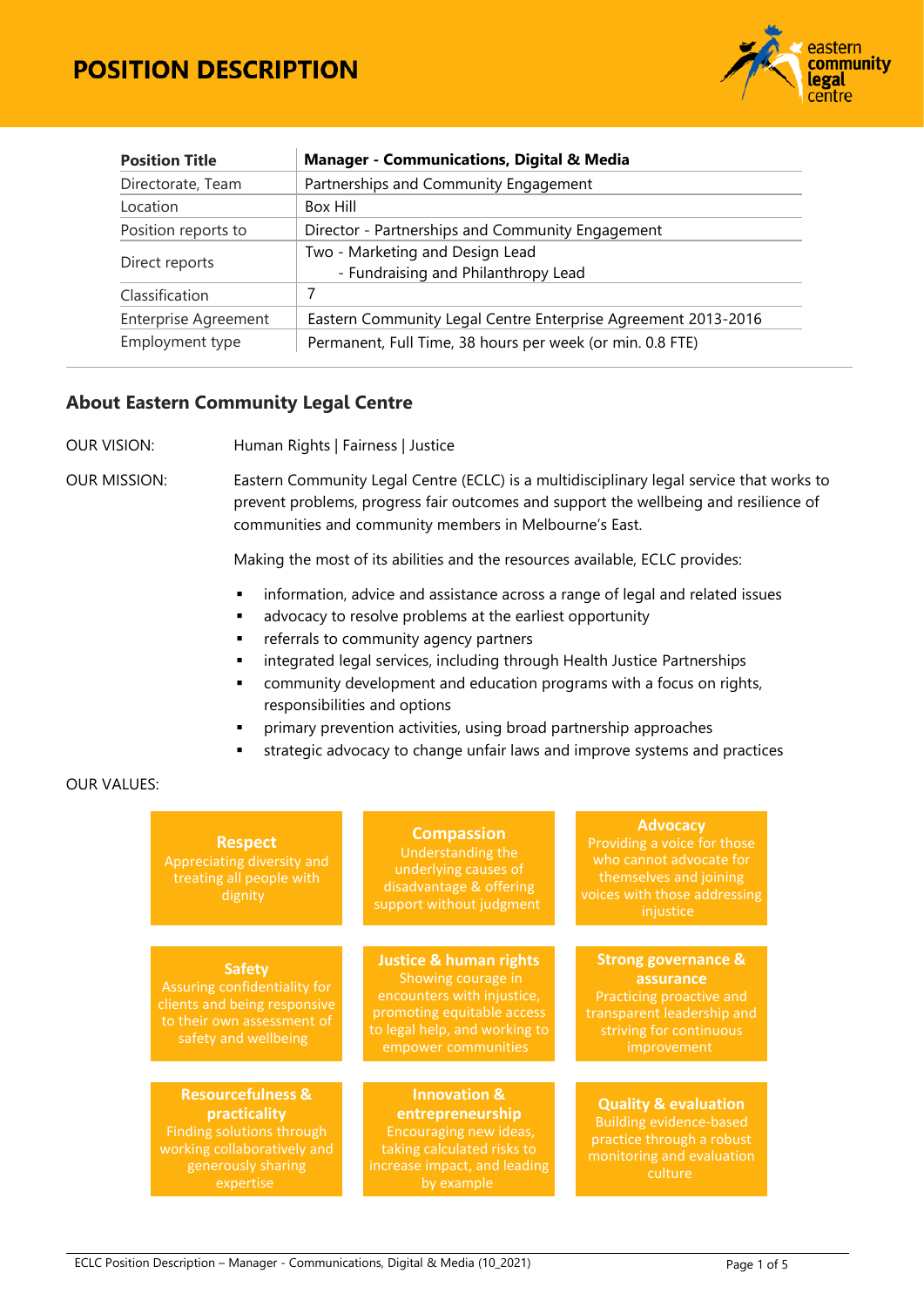

| <b>Manager - Communications, Digital &amp; Media</b><br><b>Position Title</b> |                                                               |  |  |  |
|-------------------------------------------------------------------------------|---------------------------------------------------------------|--|--|--|
| Directorate, Team<br>Partnerships and Community Engagement                    |                                                               |  |  |  |
| Location                                                                      | Box Hill                                                      |  |  |  |
| Position reports to                                                           | Director - Partnerships and Community Engagement              |  |  |  |
|                                                                               | Two - Marketing and Design Lead                               |  |  |  |
| Direct reports                                                                | - Fundraising and Philanthropy Lead                           |  |  |  |
| Classification                                                                | 7                                                             |  |  |  |
| <b>Enterprise Agreement</b>                                                   | Eastern Community Legal Centre Enterprise Agreement 2013-2016 |  |  |  |
| Employment type                                                               | Permanent, Full Time, 38 hours per week (or min. 0.8 FTE)     |  |  |  |

## **About Eastern Community Legal Centre**

OUR VISION: Human Rights | Fairness | Justice

OUR MISSION: Eastern Community Legal Centre (ECLC) is a multidisciplinary legal service that works to prevent problems, progress fair outcomes and support the wellbeing and resilience of communities and community members in Melbourne's East.

Making the most of its abilities and the resources available, ECLC provides:

- **·** information, advice and assistance across a range of legal and related issues
- **advocacy to resolve problems at the earliest opportunity**
- **Fig. 1** referrals to community agency partners
- **EXEDENT Integrated legal services, including through Health Justice Partnerships**
- **EXEDENT** community development and education programs with a focus on rights, responsibilities and options
- primary prevention activities, using broad partnership approaches
- strategic advocacy to change unfair laws and improve systems and practices

#### OUR VALUES:

| <b>Respect</b><br>Appreciating diversity and<br>treating all people with<br>dignity                                                                | <b>Compassion</b><br>Understanding the<br>underlying causes of<br>disadvantage & offering<br>support without judgment                                                       | <b>Advocacy</b><br>Providing a voice for those<br>who cannot advocate for<br>themselves and joining<br>voices with those addressing<br>injustice |
|----------------------------------------------------------------------------------------------------------------------------------------------------|-----------------------------------------------------------------------------------------------------------------------------------------------------------------------------|--------------------------------------------------------------------------------------------------------------------------------------------------|
| <b>Safety</b><br>Assuring confidentiality for<br>clients and being responsive<br>to their own assessment of<br>safety and wellbeing                | <b>Justice &amp; human rights</b><br>Showing courage in<br>encounters with injustice,<br>promoting equitable access<br>to legal help, and working to<br>empower communities | <b>Strong governance &amp;</b><br>assurance<br>Practicing proactive and<br>transparent leadership and<br>striving for continuous<br>improvement  |
| <b>Resourcefulness &amp;</b><br>practicality<br><b>Finding solutions through</b><br>working collaboratively and<br>generously sharing<br>expertise | <b>Innovation &amp;</b><br>entrepreneurship<br>Encouraging new ideas,<br>taking calculated risks to<br>increase impact, and leading<br>by example                           | <b>Quality &amp; evaluation</b><br><b>Building evidence-based</b><br>practice through a robust<br>monitoring and evaluation<br>culture           |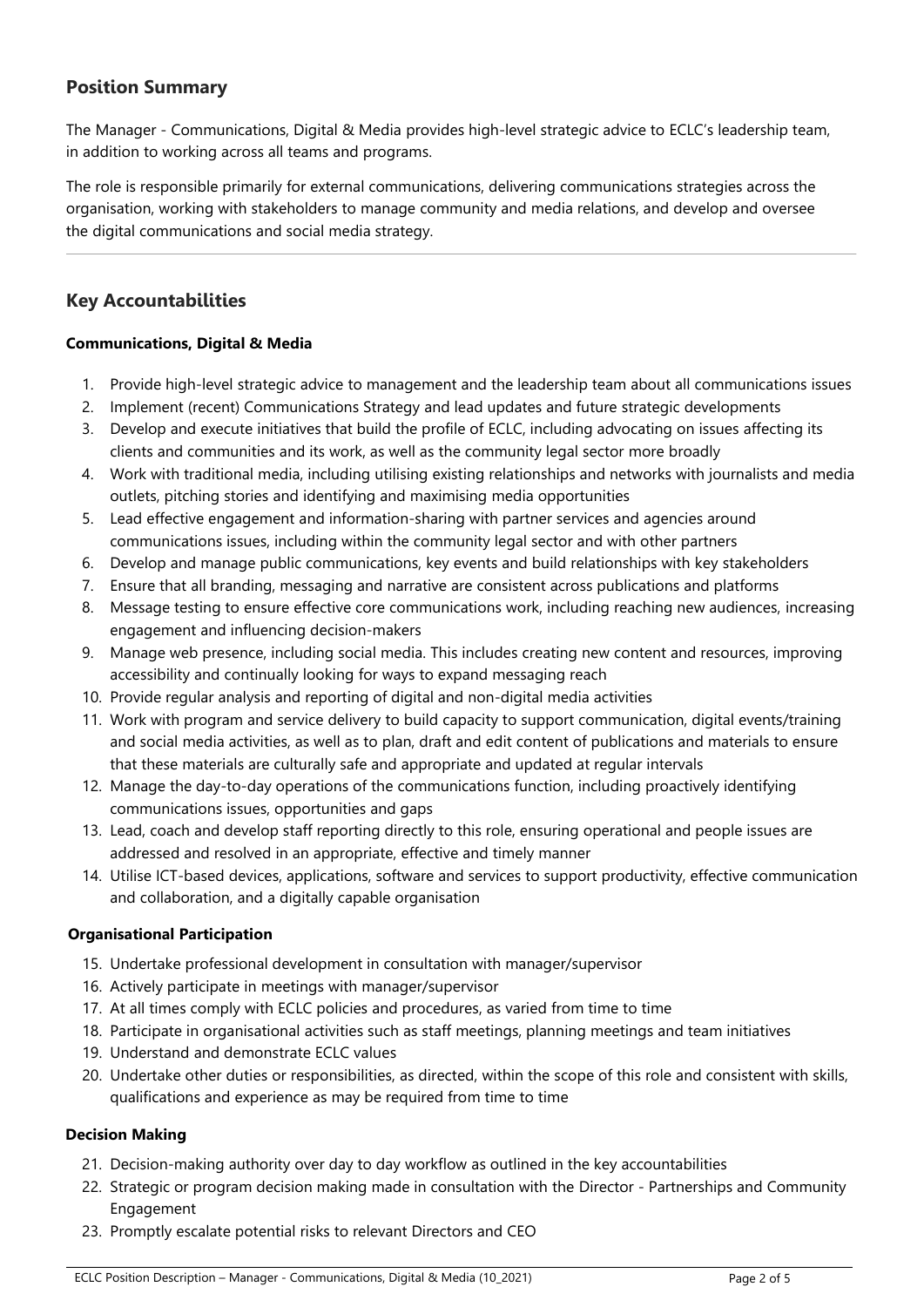# **Position Summary**

The Manager - Communications, Digital & Media provides high-level strategic advice to ECLC's leadership team, in addition to working across all teams and programs.

The role is responsible primarily for external communications, delivering communications strategies across the organisation, working with stakeholders to manage community and media relations, and develop and oversee the digital communications and social media strategy.

# **Key Accountabilities**

#### **Communications, Digital & Media**

- 1. Provide high-level strategic advice to management and the leadership team about all communications issues
- 2. Implement (recent) Communications Strategy and lead updates and future strategic developments
- 3. Develop and execute initiatives that build the profile of ECLC, including advocating on issues affecting its clients and communities and its work, as well as the community legal sector more broadly
- 4. Work with traditional media, including utilising existing relationships and networks with journalists and media outlets, pitching stories and identifying and maximising media opportunities
- 5. Lead effective engagement and information-sharing with partner services and agencies around communications issues, including within the community legal sector and with other partners
- 6. Develop and manage public communications, key events and build relationships with key stakeholders
- 7. Ensure that all branding, messaging and narrative are consistent across publications and platforms
- 8. Message testing to ensure effective core communications work, including reaching new audiences, increasing engagement and influencing decision-makers
- 9. Manage web presence, including social media. This includes creating new content and resources, improving accessibility and continually looking for ways to expand messaging reach
- 10. Provide regular analysis and reporting of digital and non-digital media activities
- 11. Work with program and service delivery to build capacity to support communication, digital events/training and social media activities, as well as to plan, draft and edit content of publications and materials to ensure that these materials are culturally safe and appropriate and updated at regular intervals
- 12. Manage the day-to-day operations of the communications function, including proactively identifying communications issues, opportunities and gaps
- 13. Lead, coach and develop staff reporting directly to this role, ensuring operational and people issues are addressed and resolved in an appropriate, effective and timely manner
- 14. Utilise ICT-based devices, applications, software and services to support productivity, effective communication and collaboration, and a digitally capable organisation

#### **Organisational Participation**

- 15. Undertake professional development in consultation with manager/supervisor
- 16. Actively participate in meetings with manager/supervisor
- 17. At all times comply with ECLC policies and procedures, as varied from time to time
- 18. Participate in organisational activities such as staff meetings, planning meetings and team initiatives
- 19. Understand and demonstrate ECLC values
- 20. Undertake other duties or responsibilities, as directed, within the scope of this role and consistent with skills, qualifications and experience as may be required from time to time

#### **Decision Making**

- 21. Decision-making authority over day to day workflow as outlined in the key accountabilities
- 22. Strategic or program decision making made in consultation with the Director Partnerships and Community Engagement
- 23. Promptly escalate potential risks to relevant Directors and CEO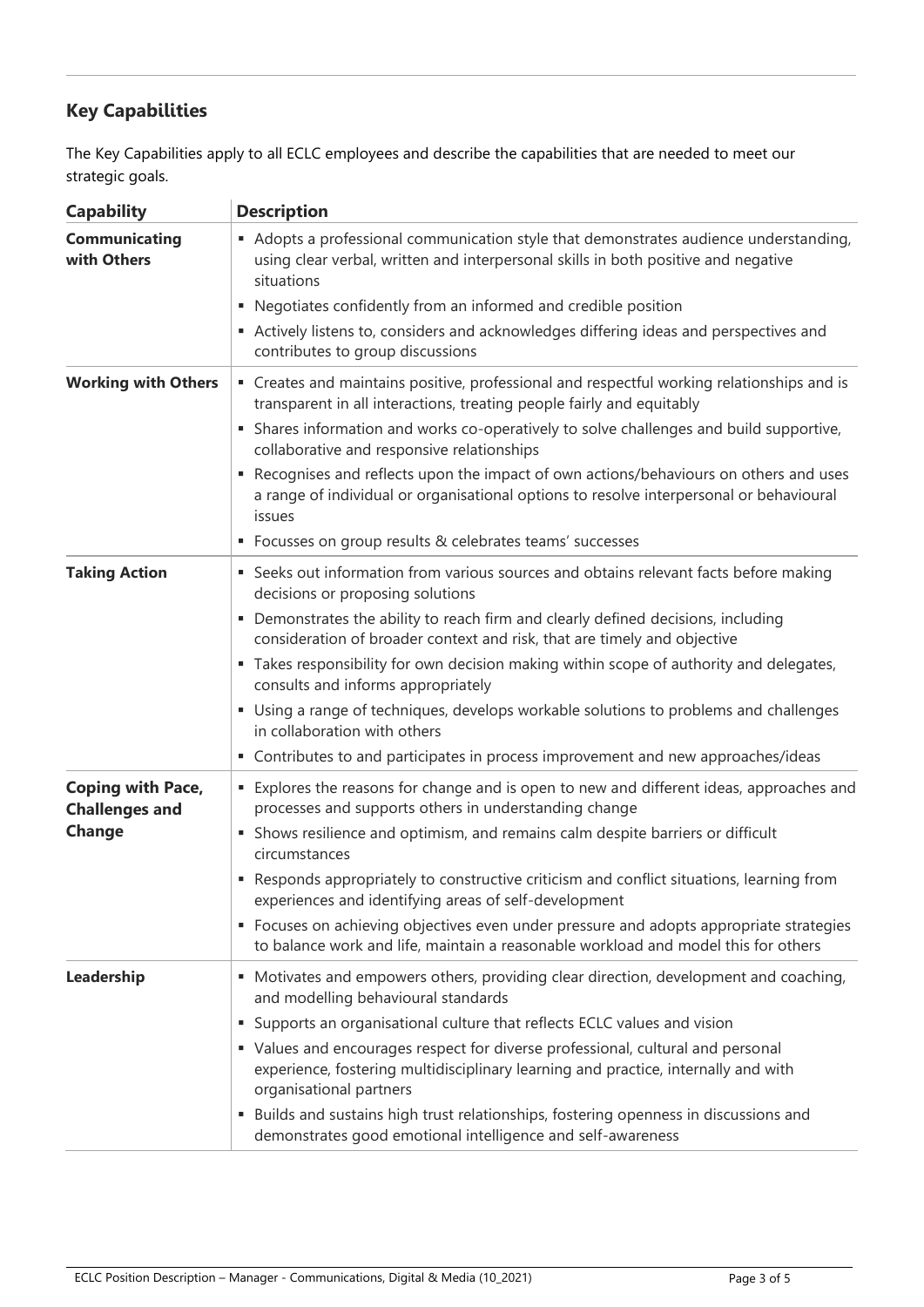# **Key Capabilities**

The Key Capabilities apply to all ECLC employees and describe the capabilities that are needed to meet our strategic goals.

| <b>Capability</b>                                 | <b>Description</b>                                                                                                                                                                                                                                           |  |  |  |
|---------------------------------------------------|--------------------------------------------------------------------------------------------------------------------------------------------------------------------------------------------------------------------------------------------------------------|--|--|--|
| <b>Communicating</b><br>with Others               | • Adopts a professional communication style that demonstrates audience understanding,<br>using clear verbal, written and interpersonal skills in both positive and negative<br>situations                                                                    |  |  |  |
|                                                   | Negotiates confidently from an informed and credible position<br>٠                                                                                                                                                                                           |  |  |  |
|                                                   | Actively listens to, considers and acknowledges differing ideas and perspectives and<br>contributes to group discussions                                                                                                                                     |  |  |  |
| <b>Working with Others</b>                        | " Creates and maintains positive, professional and respectful working relationships and is<br>transparent in all interactions, treating people fairly and equitably<br>Shares information and works co-operatively to solve challenges and build supportive, |  |  |  |
|                                                   | collaborative and responsive relationships                                                                                                                                                                                                                   |  |  |  |
|                                                   | Recognises and reflects upon the impact of own actions/behaviours on others and uses<br>a range of individual or organisational options to resolve interpersonal or behavioural<br>issues                                                                    |  |  |  |
|                                                   | • Focusses on group results & celebrates teams' successes                                                                                                                                                                                                    |  |  |  |
| <b>Taking Action</b>                              | • Seeks out information from various sources and obtains relevant facts before making<br>decisions or proposing solutions                                                                                                                                    |  |  |  |
|                                                   | Demonstrates the ability to reach firm and clearly defined decisions, including<br>٠<br>consideration of broader context and risk, that are timely and objective                                                                                             |  |  |  |
|                                                   | " Takes responsibility for own decision making within scope of authority and delegates,<br>consults and informs appropriately                                                                                                                                |  |  |  |
|                                                   | • Using a range of techniques, develops workable solutions to problems and challenges<br>in collaboration with others                                                                                                                                        |  |  |  |
|                                                   | • Contributes to and participates in process improvement and new approaches/ideas                                                                                                                                                                            |  |  |  |
| <b>Coping with Pace,</b><br><b>Challenges and</b> | <b>Explores the reasons for change and is open to new and different ideas, approaches and</b><br>processes and supports others in understanding change                                                                                                       |  |  |  |
| Change                                            | • Shows resilience and optimism, and remains calm despite barriers or difficult<br>circumstances                                                                                                                                                             |  |  |  |
|                                                   | Responds appropriately to constructive criticism and conflict situations, learning from<br>experiences and identifying areas of self-development                                                                                                             |  |  |  |
|                                                   | • Focuses on achieving objectives even under pressure and adopts appropriate strategies<br>to balance work and life, maintain a reasonable workload and model this for others                                                                                |  |  |  |
| Leadership                                        | • Motivates and empowers others, providing clear direction, development and coaching,<br>and modelling behavioural standards                                                                                                                                 |  |  |  |
|                                                   | Supports an organisational culture that reflects ECLC values and vision<br>ш                                                                                                                                                                                 |  |  |  |
|                                                   | • Values and encourages respect for diverse professional, cultural and personal<br>experience, fostering multidisciplinary learning and practice, internally and with<br>organisational partners                                                             |  |  |  |
|                                                   | Builds and sustains high trust relationships, fostering openness in discussions and<br>ш<br>demonstrates good emotional intelligence and self-awareness                                                                                                      |  |  |  |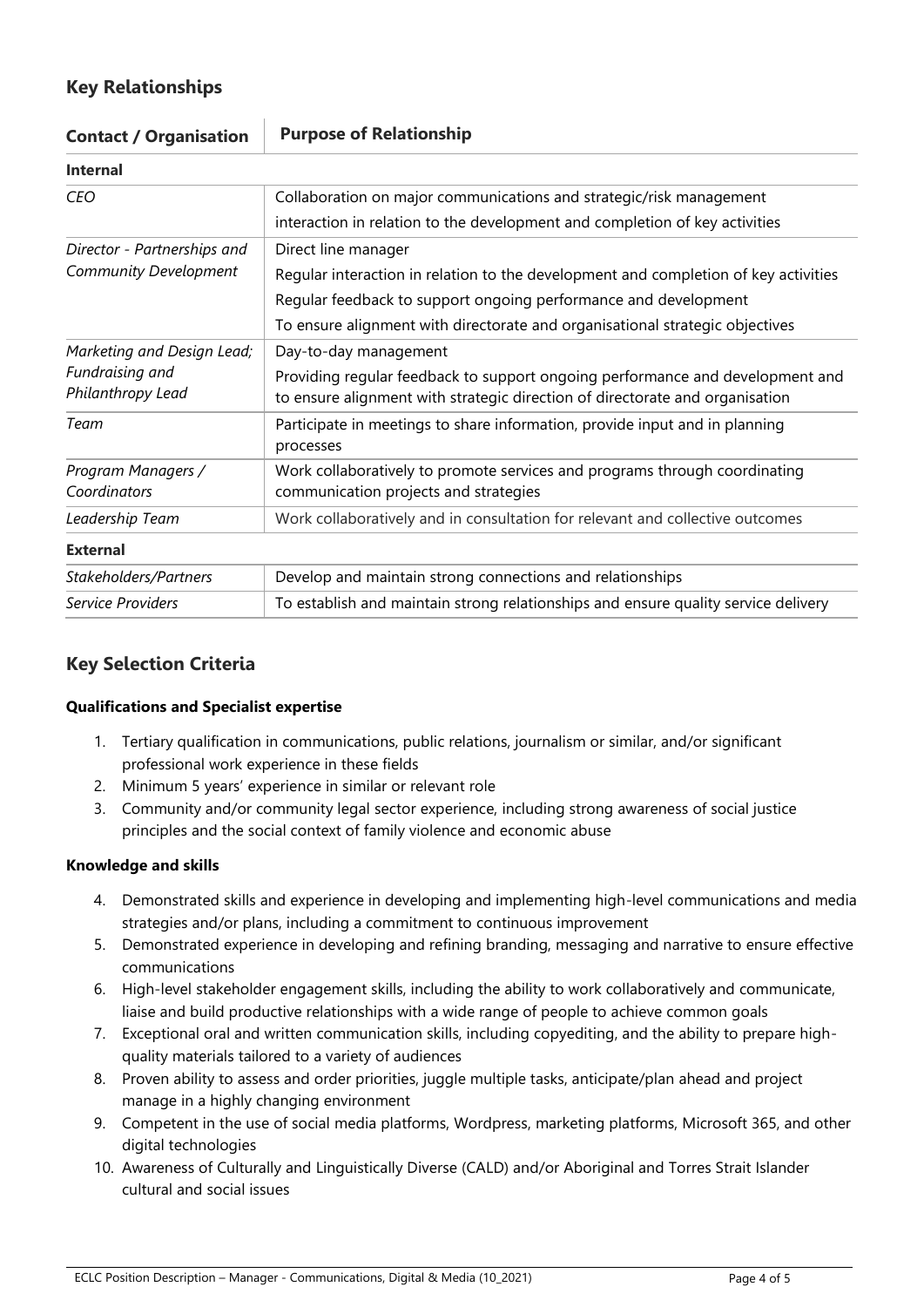# **Key Relationships**

| Contact / Organisation               | <u>Furpose of Neighbrition</u>                                                                                                                                |  |  |  |  |  |
|--------------------------------------|---------------------------------------------------------------------------------------------------------------------------------------------------------------|--|--|--|--|--|
| <b>Internal</b>                      |                                                                                                                                                               |  |  |  |  |  |
| <b>CEO</b>                           | Collaboration on major communications and strategic/risk management                                                                                           |  |  |  |  |  |
|                                      | interaction in relation to the development and completion of key activities                                                                                   |  |  |  |  |  |
| Director - Partnerships and          | Direct line manager                                                                                                                                           |  |  |  |  |  |
| Community Development                | Regular interaction in relation to the development and completion of key activities                                                                           |  |  |  |  |  |
|                                      | Regular feedback to support ongoing performance and development                                                                                               |  |  |  |  |  |
|                                      | To ensure alignment with directorate and organisational strategic objectives                                                                                  |  |  |  |  |  |
| Marketing and Design Lead;           | Day-to-day management                                                                                                                                         |  |  |  |  |  |
| Fundraising and<br>Philanthropy Lead | Providing regular feedback to support ongoing performance and development and<br>to ensure alignment with strategic direction of directorate and organisation |  |  |  |  |  |
| Team                                 | Participate in meetings to share information, provide input and in planning<br>processes                                                                      |  |  |  |  |  |
| Program Managers /<br>Coordinators   | Work collaboratively to promote services and programs through coordinating<br>communication projects and strategies                                           |  |  |  |  |  |
| Leadership Team                      | Work collaboratively and in consultation for relevant and collective outcomes                                                                                 |  |  |  |  |  |
| <b>External</b>                      |                                                                                                                                                               |  |  |  |  |  |
| Stakeholders/Partners                | Develop and maintain strong connections and relationships                                                                                                     |  |  |  |  |  |
| Service Providers                    | To establish and maintain strong relationships and ensure quality service delivery                                                                            |  |  |  |  |  |

# **Contact / Organisation Purpose of Relationship**

# **Key Selection Criteria**

#### **Qualifications and Specialist expertise**

- 1. Tertiary qualification in communications, public relations, journalism or similar, and/or significant professional work experience in these fields
- 2. Minimum 5 years' experience in similar or relevant role
- 3. Community and/or community legal sector experience, including strong awareness of social justice principles and the social context of family violence and economic abuse

## **Knowledge and skills**

- 4. Demonstrated skills and experience in developing and implementing high-level communications and media strategies and/or plans, including a commitment to continuous improvement
- 5. Demonstrated experience in developing and refining branding, messaging and narrative to ensure effective communications
- 6. High-level stakeholder engagement skills, including the ability to work collaboratively and communicate, liaise and build productive relationships with a wide range of people to achieve common goals
- 7. Exceptional oral and written communication skills, including copyediting, and the ability to prepare highquality materials tailored to a variety of audiences
- 8. Proven ability to assess and order priorities, juggle multiple tasks, anticipate/plan ahead and project manage in a highly changing environment
- 9. Competent in the use of social media platforms, Wordpress, marketing platforms, Microsoft 365, and other digital technologies
- 10. Awareness of Culturally and Linguistically Diverse (CALD) and/or Aboriginal and Torres Strait Islander cultural and social issues